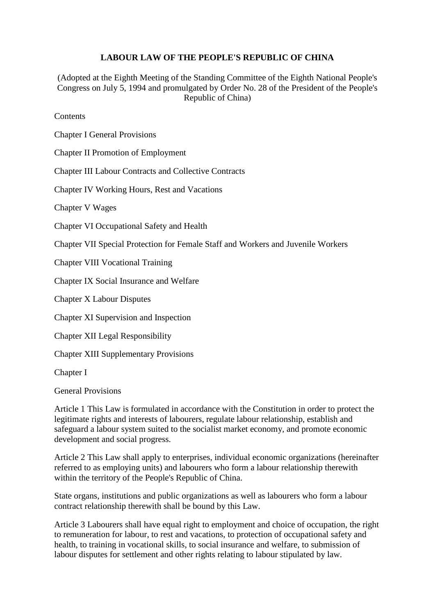## **LABOUR LAW OF THE PEOPLE'S REPUBLIC OF CHINA**

(Adopted at the Eighth Meeting of the Standing Committee of the Eighth National People's Congress on July 5, 1994 and promulgated by Order No. 28 of the President of the People's Republic of China)

Contents

Chapter I General Provisions

Chapter II Promotion of Employment

Chapter III Labour Contracts and Collective Contracts

Chapter IV Working Hours, Rest and Vacations

Chapter V Wages

Chapter VI Occupational Safety and Health

Chapter VII Special Protection for Female Staff and Workers and Juvenile Workers

Chapter VIII Vocational Training

Chapter IX Social Insurance and Welfare

Chapter X Labour Disputes

Chapter XI Supervision and Inspection

Chapter XII Legal Responsibility

Chapter XIII Supplementary Provisions

Chapter I

General Provisions

Article 1 This Law is formulated in accordance with the Constitution in order to protect the legitimate rights and interests of labourers, regulate labour relationship, establish and safeguard a labour system suited to the socialist market economy, and promote economic development and social progress.

Article 2 This Law shall apply to enterprises, individual economic organizations (hereinafter referred to as employing units) and labourers who form a labour relationship therewith within the territory of the People's Republic of China.

State organs, institutions and public organizations as well as labourers who form a labour contract relationship therewith shall be bound by this Law.

Article 3 Labourers shall have equal right to employment and choice of occupation, the right to remuneration for labour, to rest and vacations, to protection of occupational safety and health, to training in vocational skills, to social insurance and welfare, to submission of labour disputes for settlement and other rights relating to labour stipulated by law.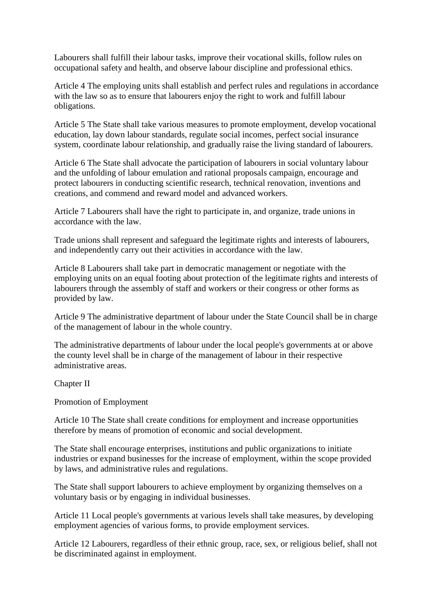Labourers shall fulfill their labour tasks, improve their vocational skills, follow rules on occupational safety and health, and observe labour discipline and professional ethics.

Article 4 The employing units shall establish and perfect rules and regulations in accordance with the law so as to ensure that labourers enjoy the right to work and fulfill labour obligations.

Article 5 The State shall take various measures to promote employment, develop vocational education, lay down labour standards, regulate social incomes, perfect social insurance system, coordinate labour relationship, and gradually raise the living standard of labourers.

Article 6 The State shall advocate the participation of labourers in social voluntary labour and the unfolding of labour emulation and rational proposals campaign, encourage and protect labourers in conducting scientific research, technical renovation, inventions and creations, and commend and reward model and advanced workers.

Article 7 Labourers shall have the right to participate in, and organize, trade unions in accordance with the law.

Trade unions shall represent and safeguard the legitimate rights and interests of labourers, and independently carry out their activities in accordance with the law.

Article 8 Labourers shall take part in democratic management or negotiate with the employing units on an equal footing about protection of the legitimate rights and interests of labourers through the assembly of staff and workers or their congress or other forms as provided by law.

Article 9 The administrative department of labour under the State Council shall be in charge of the management of labour in the whole country.

The administrative departments of labour under the local people's governments at or above the county level shall be in charge of the management of labour in their respective administrative areas.

Chapter II

Promotion of Employment

Article 10 The State shall create conditions for employment and increase opportunities therefore by means of promotion of economic and social development.

The State shall encourage enterprises, institutions and public organizations to initiate industries or expand businesses for the increase of employment, within the scope provided by laws, and administrative rules and regulations.

The State shall support labourers to achieve employment by organizing themselves on a voluntary basis or by engaging in individual businesses.

Article 11 Local people's governments at various levels shall take measures, by developing employment agencies of various forms, to provide employment services.

Article 12 Labourers, regardless of their ethnic group, race, sex, or religious belief, shall not be discriminated against in employment.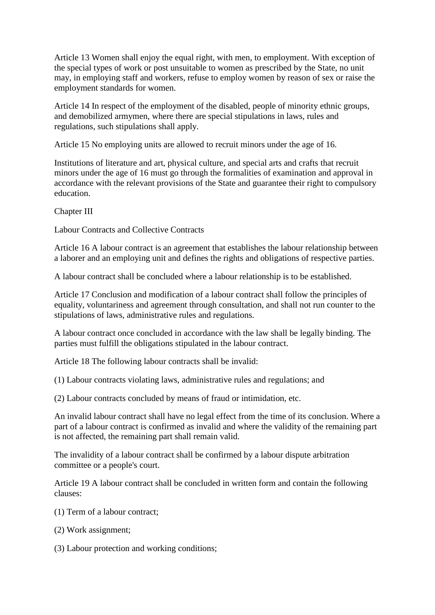Article 13 Women shall enjoy the equal right, with men, to employment. With exception of the special types of work or post unsuitable to women as prescribed by the State, no unit may, in employing staff and workers, refuse to employ women by reason of sex or raise the employment standards for women.

Article 14 In respect of the employment of the disabled, people of minority ethnic groups, and demobilized armymen, where there are special stipulations in laws, rules and regulations, such stipulations shall apply.

Article 15 No employing units are allowed to recruit minors under the age of 16.

Institutions of literature and art, physical culture, and special arts and crafts that recruit minors under the age of 16 must go through the formalities of examination and approval in accordance with the relevant provisions of the State and guarantee their right to compulsory education.

Chapter III

Labour Contracts and Collective Contracts

Article 16 A labour contract is an agreement that establishes the labour relationship between a laborer and an employing unit and defines the rights and obligations of respective parties.

A labour contract shall be concluded where a labour relationship is to be established.

Article 17 Conclusion and modification of a labour contract shall follow the principles of equality, voluntariness and agreement through consultation, and shall not run counter to the stipulations of laws, administrative rules and regulations.

A labour contract once concluded in accordance with the law shall be legally binding. The parties must fulfill the obligations stipulated in the labour contract.

Article 18 The following labour contracts shall be invalid:

(1) Labour contracts violating laws, administrative rules and regulations; and

(2) Labour contracts concluded by means of fraud or intimidation, etc.

An invalid labour contract shall have no legal effect from the time of its conclusion. Where a part of a labour contract is confirmed as invalid and where the validity of the remaining part is not affected, the remaining part shall remain valid.

The invalidity of a labour contract shall be confirmed by a labour dispute arbitration committee or a people's court.

Article 19 A labour contract shall be concluded in written form and contain the following clauses:

(1) Term of a labour contract;

(2) Work assignment;

(3) Labour protection and working conditions;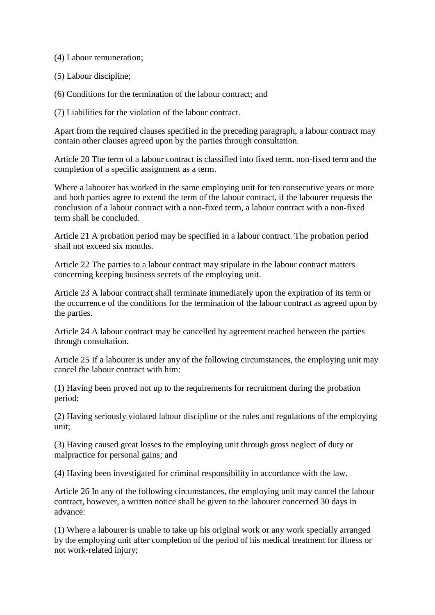(4) Labour remuneration;

(5) Labour discipline;

(6) Conditions for the termination of the labour contract; and

(7) Liabilities for the violation of the labour contract.

Apart from the required clauses specified in the preceding paragraph, a labour contract may contain other clauses agreed upon by the parties through consultation.

Article 20 The term of a labour contract is classified into fixed term, non-fixed term and the completion of a specific assignment as a term.

Where a labourer has worked in the same employing unit for ten consecutive years or more and both parties agree to extend the term of the labour contract, if the labourer requests the conclusion of a labour contract with a non-fixed term, a labour contract with a non-fixed term shall be concluded.

Article 21 A probation period may be specified in a labour contract. The probation period shall not exceed six months.

Article 22 The parties to a labour contract may stipulate in the labour contract matters concerning keeping business secrets of the employing unit.

Article 23 A labour contract shall terminate immediately upon the expiration of its term or the occurrence of the conditions for the termination of the labour contract as agreed upon by the parties.

Article 24 A labour contract may be cancelled by agreement reached between the parties through consultation.

Article 25 If a labourer is under any of the following circumstances, the employing unit may cancel the labour contract with him:

(1) Having been proved not up to the requirements for recruitment during the probation period;

(2) Having seriously violated labour discipline or the rules and regulations of the employing unit;

(3) Having caused great losses to the employing unit through gross neglect of duty or malpractice for personal gains; and

(4) Having been investigated for criminal responsibility in accordance with the law.

Article 26 In any of the following circumstances, the employing unit may cancel the labour contract, however, a written notice shall be given to the labourer concerned 30 days in advance:

(1) Where a labourer is unable to take up his original work or any work specially arranged by the employing unit after completion of the period of his medical treatment for illness or not work-related injury;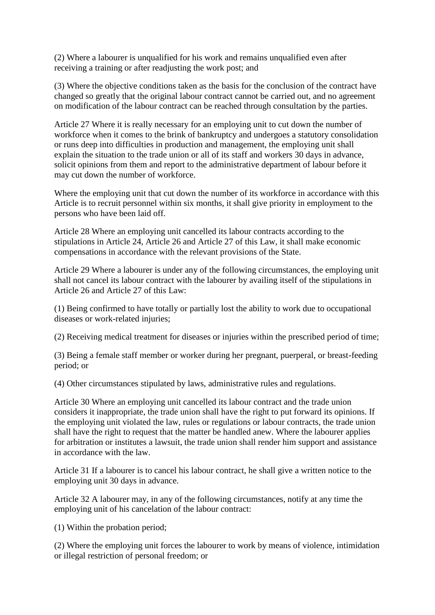(2) Where a labourer is unqualified for his work and remains unqualified even after receiving a training or after readjusting the work post; and

(3) Where the objective conditions taken as the basis for the conclusion of the contract have changed so greatly that the original labour contract cannot be carried out, and no agreement on modification of the labour contract can be reached through consultation by the parties.

Article 27 Where it is really necessary for an employing unit to cut down the number of workforce when it comes to the brink of bankruptcy and undergoes a statutory consolidation or runs deep into difficulties in production and management, the employing unit shall explain the situation to the trade union or all of its staff and workers 30 days in advance, solicit opinions from them and report to the administrative department of labour before it may cut down the number of workforce.

Where the employing unit that cut down the number of its workforce in accordance with this Article is to recruit personnel within six months, it shall give priority in employment to the persons who have been laid off.

Article 28 Where an employing unit cancelled its labour contracts according to the stipulations in Article 24, Article 26 and Article 27 of this Law, it shall make economic compensations in accordance with the relevant provisions of the State.

Article 29 Where a labourer is under any of the following circumstances, the employing unit shall not cancel its labour contract with the labourer by availing itself of the stipulations in Article 26 and Article 27 of this Law:

(1) Being confirmed to have totally or partially lost the ability to work due to occupational diseases or work-related injuries;

(2) Receiving medical treatment for diseases or injuries within the prescribed period of time;

(3) Being a female staff member or worker during her pregnant, puerperal, or breast-feeding period; or

(4) Other circumstances stipulated by laws, administrative rules and regulations.

Article 30 Where an employing unit cancelled its labour contract and the trade union considers it inappropriate, the trade union shall have the right to put forward its opinions. If the employing unit violated the law, rules or regulations or labour contracts, the trade union shall have the right to request that the matter be handled anew. Where the labourer applies for arbitration or institutes a lawsuit, the trade union shall render him support and assistance in accordance with the law.

Article 31 If a labourer is to cancel his labour contract, he shall give a written notice to the employing unit 30 days in advance.

Article 32 A labourer may, in any of the following circumstances, notify at any time the employing unit of his cancelation of the labour contract:

(1) Within the probation period;

(2) Where the employing unit forces the labourer to work by means of violence, intimidation or illegal restriction of personal freedom; or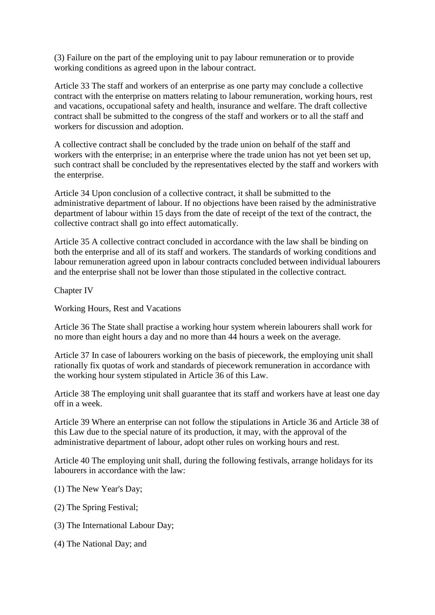(3) Failure on the part of the employing unit to pay labour remuneration or to provide working conditions as agreed upon in the labour contract.

Article 33 The staff and workers of an enterprise as one party may conclude a collective contract with the enterprise on matters relating to labour remuneration, working hours, rest and vacations, occupational safety and health, insurance and welfare. The draft collective contract shall be submitted to the congress of the staff and workers or to all the staff and workers for discussion and adoption.

A collective contract shall be concluded by the trade union on behalf of the staff and workers with the enterprise; in an enterprise where the trade union has not yet been set up, such contract shall be concluded by the representatives elected by the staff and workers with the enterprise.

Article 34 Upon conclusion of a collective contract, it shall be submitted to the administrative department of labour. If no objections have been raised by the administrative department of labour within 15 days from the date of receipt of the text of the contract, the collective contract shall go into effect automatically.

Article 35 A collective contract concluded in accordance with the law shall be binding on both the enterprise and all of its staff and workers. The standards of working conditions and labour remuneration agreed upon in labour contracts concluded between individual labourers and the enterprise shall not be lower than those stipulated in the collective contract.

Chapter IV

Working Hours, Rest and Vacations

Article 36 The State shall practise a working hour system wherein labourers shall work for no more than eight hours a day and no more than 44 hours a week on the average.

Article 37 In case of labourers working on the basis of piecework, the employing unit shall rationally fix quotas of work and standards of piecework remuneration in accordance with the working hour system stipulated in Article 36 of this Law.

Article 38 The employing unit shall guarantee that its staff and workers have at least one day off in a week.

Article 39 Where an enterprise can not follow the stipulations in Article 36 and Article 38 of this Law due to the special nature of its production, it may, with the approval of the administrative department of labour, adopt other rules on working hours and rest.

Article 40 The employing unit shall, during the following festivals, arrange holidays for its labourers in accordance with the law:

- (1) The New Year's Day;
- (2) The Spring Festival;
- (3) The International Labour Day;
- (4) The National Day; and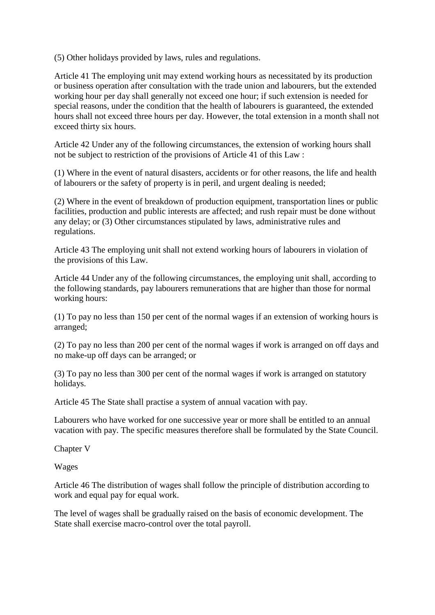(5) Other holidays provided by laws, rules and regulations.

Article 41 The employing unit may extend working hours as necessitated by its production or business operation after consultation with the trade union and labourers, but the extended working hour per day shall generally not exceed one hour; if such extension is needed for special reasons, under the condition that the health of labourers is guaranteed, the extended hours shall not exceed three hours per day. However, the total extension in a month shall not exceed thirty six hours.

Article 42 Under any of the following circumstances, the extension of working hours shall not be subject to restriction of the provisions of Article 41 of this Law :

(1) Where in the event of natural disasters, accidents or for other reasons, the life and health of labourers or the safety of property is in peril, and urgent dealing is needed;

(2) Where in the event of breakdown of production equipment, transportation lines or public facilities, production and public interests are affected; and rush repair must be done without any delay; or (3) Other circumstances stipulated by laws, administrative rules and regulations.

Article 43 The employing unit shall not extend working hours of labourers in violation of the provisions of this Law.

Article 44 Under any of the following circumstances, the employing unit shall, according to the following standards, pay labourers remunerations that are higher than those for normal working hours:

(1) To pay no less than 150 per cent of the normal wages if an extension of working hours is arranged;

(2) To pay no less than 200 per cent of the normal wages if work is arranged on off days and no make-up off days can be arranged; or

(3) To pay no less than 300 per cent of the normal wages if work is arranged on statutory holidays.

Article 45 The State shall practise a system of annual vacation with pay.

Labourers who have worked for one successive year or more shall be entitled to an annual vacation with pay. The specific measures therefore shall be formulated by the State Council.

Chapter V

Wages

Article 46 The distribution of wages shall follow the principle of distribution according to work and equal pay for equal work.

The level of wages shall be gradually raised on the basis of economic development. The State shall exercise macro-control over the total payroll.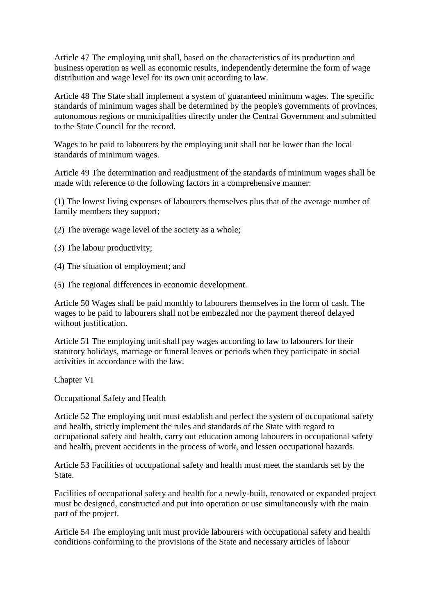Article 47 The employing unit shall, based on the characteristics of its production and business operation as well as economic results, independently determine the form of wage distribution and wage level for its own unit according to law.

Article 48 The State shall implement a system of guaranteed minimum wages. The specific standards of minimum wages shall be determined by the people's governments of provinces, autonomous regions or municipalities directly under the Central Government and submitted to the State Council for the record.

Wages to be paid to labourers by the employing unit shall not be lower than the local standards of minimum wages.

Article 49 The determination and readjustment of the standards of minimum wages shall be made with reference to the following factors in a comprehensive manner:

(1) The lowest living expenses of labourers themselves plus that of the average number of family members they support;

- (2) The average wage level of the society as a whole;
- (3) The labour productivity;
- (4) The situation of employment; and
- (5) The regional differences in economic development.

Article 50 Wages shall be paid monthly to labourers themselves in the form of cash. The wages to be paid to labourers shall not be embezzled nor the payment thereof delayed without justification.

Article 51 The employing unit shall pay wages according to law to labourers for their statutory holidays, marriage or funeral leaves or periods when they participate in social activities in accordance with the law.

Chapter VI

Occupational Safety and Health

Article 52 The employing unit must establish and perfect the system of occupational safety and health, strictly implement the rules and standards of the State with regard to occupational safety and health, carry out education among labourers in occupational safety and health, prevent accidents in the process of work, and lessen occupational hazards.

Article 53 Facilities of occupational safety and health must meet the standards set by the State.

Facilities of occupational safety and health for a newly-built, renovated or expanded project must be designed, constructed and put into operation or use simultaneously with the main part of the project.

Article 54 The employing unit must provide labourers with occupational safety and health conditions conforming to the provisions of the State and necessary articles of labour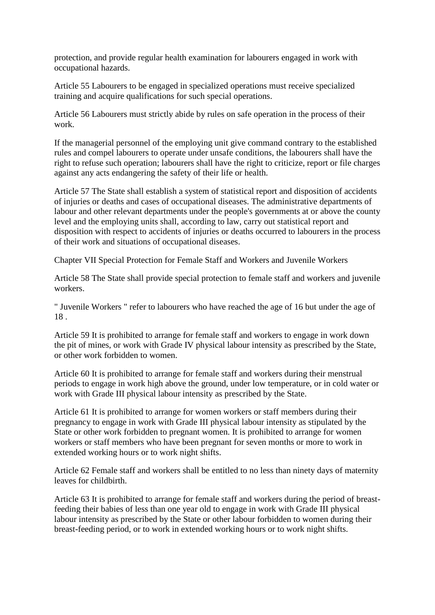protection, and provide regular health examination for labourers engaged in work with occupational hazards.

Article 55 Labourers to be engaged in specialized operations must receive specialized training and acquire qualifications for such special operations.

Article 56 Labourers must strictly abide by rules on safe operation in the process of their work.

If the managerial personnel of the employing unit give command contrary to the established rules and compel labourers to operate under unsafe conditions, the labourers shall have the right to refuse such operation; labourers shall have the right to criticize, report or file charges against any acts endangering the safety of their life or health.

Article 57 The State shall establish a system of statistical report and disposition of accidents of injuries or deaths and cases of occupational diseases. The administrative departments of labour and other relevant departments under the people's governments at or above the county level and the employing units shall, according to law, carry out statistical report and disposition with respect to accidents of injuries or deaths occurred to labourers in the process of their work and situations of occupational diseases.

Chapter VII Special Protection for Female Staff and Workers and Juvenile Workers

Article 58 The State shall provide special protection to female staff and workers and juvenile workers.

" Juvenile Workers " refer to labourers who have reached the age of 16 but under the age of 18 .

Article 59 It is prohibited to arrange for female staff and workers to engage in work down the pit of mines, or work with Grade IV physical labour intensity as prescribed by the State, or other work forbidden to women.

Article 60 It is prohibited to arrange for female staff and workers during their menstrual periods to engage in work high above the ground, under low temperature, or in cold water or work with Grade III physical labour intensity as prescribed by the State.

Article 61 It is prohibited to arrange for women workers or staff members during their pregnancy to engage in work with Grade III physical labour intensity as stipulated by the State or other work forbidden to pregnant women. It is prohibited to arrange for women workers or staff members who have been pregnant for seven months or more to work in extended working hours or to work night shifts.

Article 62 Female staff and workers shall be entitled to no less than ninety days of maternity leaves for childbirth.

Article 63 It is prohibited to arrange for female staff and workers during the period of breastfeeding their babies of less than one year old to engage in work with Grade III physical labour intensity as prescribed by the State or other labour forbidden to women during their breast-feeding period, or to work in extended working hours or to work night shifts.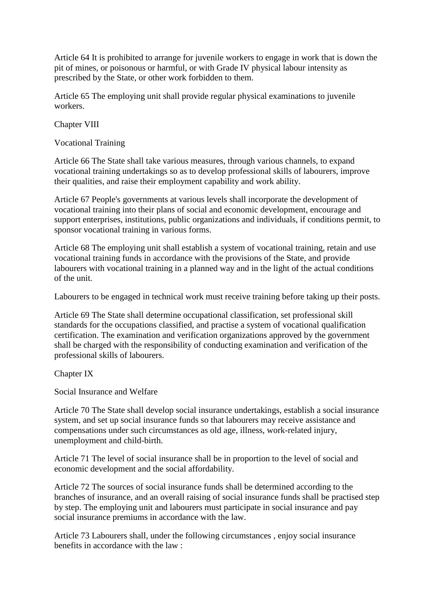Article 64 It is prohibited to arrange for juvenile workers to engage in work that is down the pit of mines, or poisonous or harmful, or with Grade IV physical labour intensity as prescribed by the State, or other work forbidden to them.

Article 65 The employing unit shall provide regular physical examinations to juvenile workers.

Chapter VIII

Vocational Training

Article 66 The State shall take various measures, through various channels, to expand vocational training undertakings so as to develop professional skills of labourers, improve their qualities, and raise their employment capability and work ability.

Article 67 People's governments at various levels shall incorporate the development of vocational training into their plans of social and economic development, encourage and support enterprises, institutions, public organizations and individuals, if conditions permit, to sponsor vocational training in various forms.

Article 68 The employing unit shall establish a system of vocational training, retain and use vocational training funds in accordance with the provisions of the State, and provide labourers with vocational training in a planned way and in the light of the actual conditions of the unit.

Labourers to be engaged in technical work must receive training before taking up their posts.

Article 69 The State shall determine occupational classification, set professional skill standards for the occupations classified, and practise a system of vocational qualification certification. The examination and verification organizations approved by the government shall be charged with the responsibility of conducting examination and verification of the professional skills of labourers.

Chapter IX

Social Insurance and Welfare

Article 70 The State shall develop social insurance undertakings, establish a social insurance system, and set up social insurance funds so that labourers may receive assistance and compensations under such circumstances as old age, illness, work-related injury, unemployment and child-birth.

Article 71 The level of social insurance shall be in proportion to the level of social and economic development and the social affordability.

Article 72 The sources of social insurance funds shall be determined according to the branches of insurance, and an overall raising of social insurance funds shall be practised step by step. The employing unit and labourers must participate in social insurance and pay social insurance premiums in accordance with the law.

Article 73 Labourers shall, under the following circumstances , enjoy social insurance benefits in accordance with the law :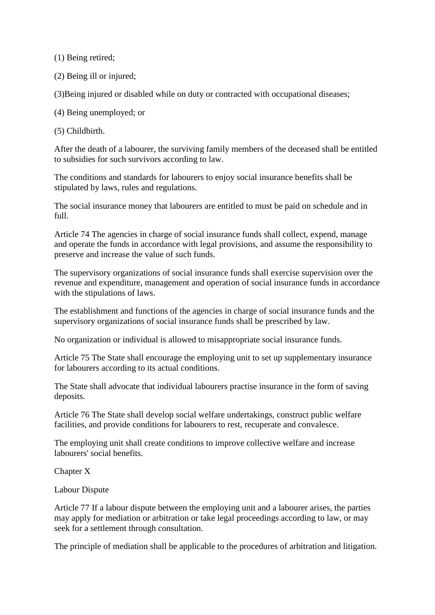(1) Being retired;

(2) Being ill or injured;

(3)Being injured or disabled while on duty or contracted with occupational diseases;

(4) Being unemployed; or

(5) Childbirth.

After the death of a labourer, the surviving family members of the deceased shall be entitled to subsidies for such survivors according to law.

The conditions and standards for labourers to enjoy social insurance benefits shall be stipulated by laws, rules and regulations.

The social insurance money that labourers are entitled to must be paid on schedule and in full.

Article 74 The agencies in charge of social insurance funds shall collect, expend, manage and operate the funds in accordance with legal provisions, and assume the responsibility to preserve and increase the value of such funds.

The supervisory organizations of social insurance funds shall exercise supervision over the revenue and expenditure, management and operation of social insurance funds in accordance with the stipulations of laws.

The establishment and functions of the agencies in charge of social insurance funds and the supervisory organizations of social insurance funds shall be prescribed by law.

No organization or individual is allowed to misappropriate social insurance funds.

Article 75 The State shall encourage the employing unit to set up supplementary insurance for labourers according to its actual conditions.

The State shall advocate that individual labourers practise insurance in the form of saving deposits.

Article 76 The State shall develop social welfare undertakings, construct public welfare facilities, and provide conditions for labourers to rest, recuperate and convalesce.

The employing unit shall create conditions to improve collective welfare and increase labourers' social benefits.

Chapter X

Labour Dispute

Article 77 If a labour dispute between the employing unit and a labourer arises, the parties may apply for mediation or arbitration or take legal proceedings according to law, or may seek for a settlement through consultation.

The principle of mediation shall be applicable to the procedures of arbitration and litigation.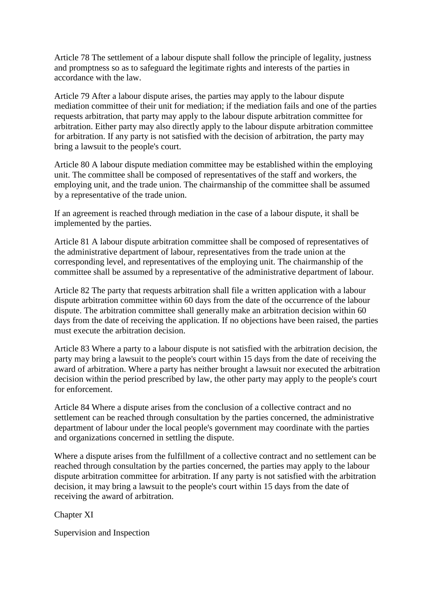Article 78 The settlement of a labour dispute shall follow the principle of legality, justness and promptness so as to safeguard the legitimate rights and interests of the parties in accordance with the law.

Article 79 After a labour dispute arises, the parties may apply to the labour dispute mediation committee of their unit for mediation; if the mediation fails and one of the parties requests arbitration, that party may apply to the labour dispute arbitration committee for arbitration. Either party may also directly apply to the labour dispute arbitration committee for arbitration. If any party is not satisfied with the decision of arbitration, the party may bring a lawsuit to the people's court.

Article 80 A labour dispute mediation committee may be established within the employing unit. The committee shall be composed of representatives of the staff and workers, the employing unit, and the trade union. The chairmanship of the committee shall be assumed by a representative of the trade union.

If an agreement is reached through mediation in the case of a labour dispute, it shall be implemented by the parties.

Article 81 A labour dispute arbitration committee shall be composed of representatives of the administrative department of labour, representatives from the trade union at the corresponding level, and representatives of the employing unit. The chairmanship of the committee shall be assumed by a representative of the administrative department of labour.

Article 82 The party that requests arbitration shall file a written application with a labour dispute arbitration committee within 60 days from the date of the occurrence of the labour dispute. The arbitration committee shall generally make an arbitration decision within 60 days from the date of receiving the application. If no objections have been raised, the parties must execute the arbitration decision.

Article 83 Where a party to a labour dispute is not satisfied with the arbitration decision, the party may bring a lawsuit to the people's court within 15 days from the date of receiving the award of arbitration. Where a party has neither brought a lawsuit nor executed the arbitration decision within the period prescribed by law, the other party may apply to the people's court for enforcement.

Article 84 Where a dispute arises from the conclusion of a collective contract and no settlement can be reached through consultation by the parties concerned, the administrative department of labour under the local people's government may coordinate with the parties and organizations concerned in settling the dispute.

Where a dispute arises from the fulfillment of a collective contract and no settlement can be reached through consultation by the parties concerned, the parties may apply to the labour dispute arbitration committee for arbitration. If any party is not satisfied with the arbitration decision, it may bring a lawsuit to the people's court within 15 days from the date of receiving the award of arbitration.

Chapter XI

Supervision and Inspection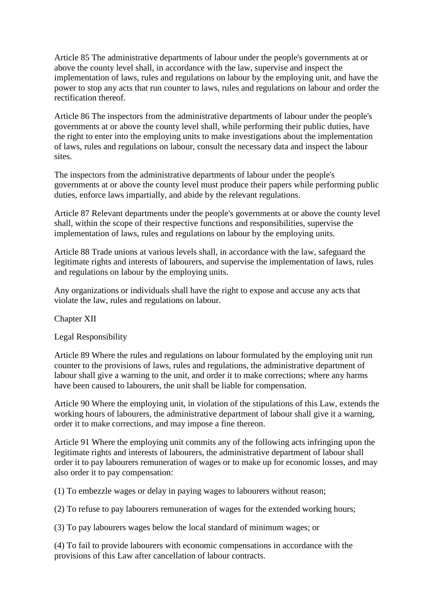Article 85 The administrative departments of labour under the people's governments at or above the county level shall, in accordance with the law, supervise and inspect the implementation of laws, rules and regulations on labour by the employing unit, and have the power to stop any acts that run counter to laws, rules and regulations on labour and order the rectification thereof.

Article 86 The inspectors from the administrative departments of labour under the people's governments at or above the county level shall, while performing their public duties, have the right to enter into the employing units to make investigations about the implementation of laws, rules and regulations on labour, consult the necessary data and inspect the labour sites.

The inspectors from the administrative departments of labour under the people's governments at or above the county level must produce their papers while performing public duties, enforce laws impartially, and abide by the relevant regulations.

Article 87 Relevant departments under the people's governments at or above the county level shall, within the scope of their respective functions and responsibilities, supervise the implementation of laws, rules and regulations on labour by the employing units.

Article 88 Trade unions at various levels shall, in accordance with the law, safeguard the legitimate rights and interests of labourers, and supervise the implementation of laws, rules and regulations on labour by the employing units.

Any organizations or individuals shall have the right to expose and accuse any acts that violate the law, rules and regulations on labour.

Chapter XII

Legal Responsibility

Article 89 Where the rules and regulations on labour formulated by the employing unit run counter to the provisions of laws, rules and regulations, the administrative department of labour shall give a warning to the unit, and order it to make corrections; where any harms have been caused to labourers, the unit shall be liable for compensation.

Article 90 Where the employing unit, in violation of the stipulations of this Law, extends the working hours of labourers, the administrative department of labour shall give it a warning, order it to make corrections, and may impose a fine thereon.

Article 91 Where the employing unit commits any of the following acts infringing upon the legitimate rights and interests of labourers, the administrative department of labour shall order it to pay labourers remuneration of wages or to make up for economic losses, and may also order it to pay compensation:

(1) To embezzle wages or delay in paying wages to labourers without reason;

(2) To refuse to pay labourers remuneration of wages for the extended working hours;

(3) To pay labourers wages below the local standard of minimum wages; or

(4) To fail to provide labourers with economic compensations in accordance with the provisions of this Law after cancellation of labour contracts.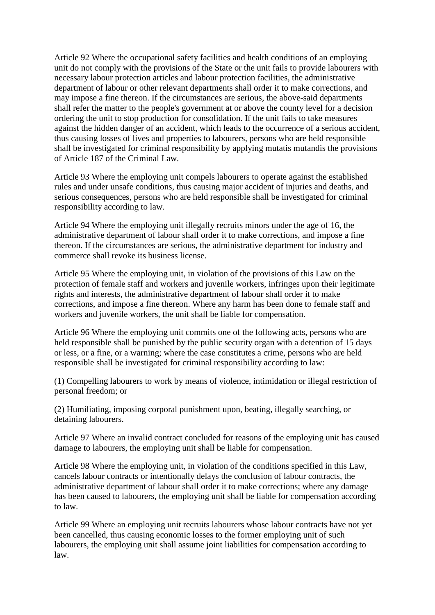Article 92 Where the occupational safety facilities and health conditions of an employing unit do not comply with the provisions of the State or the unit fails to provide labourers with necessary labour protection articles and labour protection facilities, the administrative department of labour or other relevant departments shall order it to make corrections, and may impose a fine thereon. If the circumstances are serious, the above-said departments shall refer the matter to the people's government at or above the county level for a decision ordering the unit to stop production for consolidation. If the unit fails to take measures against the hidden danger of an accident, which leads to the occurrence of a serious accident, thus causing losses of lives and properties to labourers, persons who are held responsible shall be investigated for criminal responsibility by applying mutatis mutandis the provisions of Article 187 of the Criminal Law.

Article 93 Where the employing unit compels labourers to operate against the established rules and under unsafe conditions, thus causing major accident of injuries and deaths, and serious consequences, persons who are held responsible shall be investigated for criminal responsibility according to law.

Article 94 Where the employing unit illegally recruits minors under the age of 16, the administrative department of labour shall order it to make corrections, and impose a fine thereon. If the circumstances are serious, the administrative department for industry and commerce shall revoke its business license.

Article 95 Where the employing unit, in violation of the provisions of this Law on the protection of female staff and workers and juvenile workers, infringes upon their legitimate rights and interests, the administrative department of labour shall order it to make corrections, and impose a fine thereon. Where any harm has been done to female staff and workers and juvenile workers, the unit shall be liable for compensation.

Article 96 Where the employing unit commits one of the following acts, persons who are held responsible shall be punished by the public security organ with a detention of 15 days or less, or a fine, or a warning; where the case constitutes a crime, persons who are held responsible shall be investigated for criminal responsibility according to law:

(1) Compelling labourers to work by means of violence, intimidation or illegal restriction of personal freedom; or

(2) Humiliating, imposing corporal punishment upon, beating, illegally searching, or detaining labourers.

Article 97 Where an invalid contract concluded for reasons of the employing unit has caused damage to labourers, the employing unit shall be liable for compensation.

Article 98 Where the employing unit, in violation of the conditions specified in this Law, cancels labour contracts or intentionally delays the conclusion of labour contracts, the administrative department of labour shall order it to make corrections; where any damage has been caused to labourers, the employing unit shall be liable for compensation according to law.

Article 99 Where an employing unit recruits labourers whose labour contracts have not yet been cancelled, thus causing economic losses to the former employing unit of such labourers, the employing unit shall assume joint liabilities for compensation according to law.